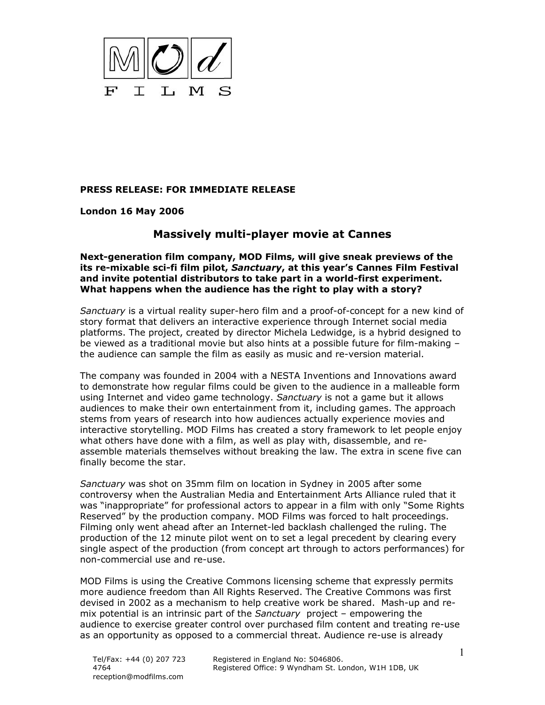

## **PRESS RELEASE: FOR IMMEDIATE RELEASE**

**London 16 May 2006** 

## **Massively multi-player movie at Cannes**

**Next-generation film company, MOD Films, will give sneak previews of the its re-mixable sci-fi film pilot,** *Sanctuary***, at this year's Cannes Film Festival and invite potential distributors to take part in a world-first experiment. What happens when the audience has the right to play with a story?** 

*Sanctuary* is a virtual reality super-hero film and a proof-of-concept for a new kind of story format that delivers an interactive experience through Internet social media platforms. The project, created by director Michela Ledwidge, is a hybrid designed to be viewed as a traditional movie but also hints at a possible future for film-making – the audience can sample the film as easily as music and re-version material.

The company was founded in 2004 with a NESTA Inventions and Innovations award to demonstrate how regular films could be given to the audience in a malleable form using Internet and video game technology. *Sanctuary* is not a game but it allows audiences to make their own entertainment from it, including games. The approach stems from years of research into how audiences actually experience movies and interactive storytelling. MOD Films has created a story framework to let people enjoy what others have done with a film, as well as play with, disassemble, and reassemble materials themselves without breaking the law. The extra in scene five can finally become the star.

*Sanctuary* was shot on 35mm film on location in Sydney in 2005 after some controversy when the Australian Media and Entertainment Arts Alliance ruled that it was "inappropriate" for professional actors to appear in a film with only "Some Rights Reserved" by the production company. MOD Films was forced to halt proceedings. Filming only went ahead after an Internet-led backlash challenged the ruling. The production of the 12 minute pilot went on to set a legal precedent by clearing every single aspect of the production (from concept art through to actors performances) for non-commercial use and re-use.

MOD Films is using the Creative Commons licensing scheme that expressly permits more audience freedom than All Rights Reserved. The Creative Commons was first devised in 2002 as a mechanism to help creative work be shared. Mash-up and remix potential is an intrinsic part of the *Sanctuary* project – empowering the audience to exercise greater control over purchased film content and treating re-use as an opportunity as opposed to a commercial threat. Audience re-use is already